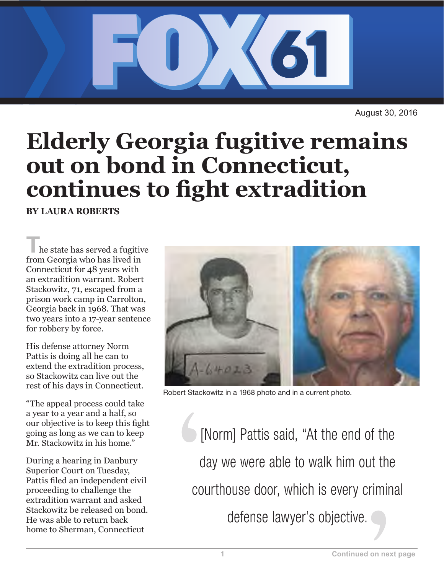

August 30, 2016

## **Elderly Georgia fugitive remains out on bond in Connecticut, continues to fight extradition**

**BY LAURA ROBERTS**

**T**he state has served a fugitive from Georgia who has lived in Connecticut for 48 years with an extradition warrant. Robert Stackowitz, 71, escaped from a prison work camp in Carrolton, Georgia back in 1968. That was two years into a 17-year sentence for robbery by force.

His defense attorney Norm Pattis is doing all he can to extend the extradition process, so Stackowitz can live out the rest of his days in Connecticut.

"The appeal process could take a year to a year and a half, so our objective is to keep this fight going as long as we can to keep Mr. Stackowitz in his home."

During a hearing in Danbury Superior Court on Tuesday, Pattis filed an independent civil proceeding to challenge the extradition warrant and asked Stackowitz be released on bond. He was able to return back home to Sherman, Connecticut



Robert Stackowitz in a 1968 photo and in a current photo.

[Norm] Pattis said, "At the end of the day we were able to walk him out the courthouse door, which is every criminal defense lawyer's objective.